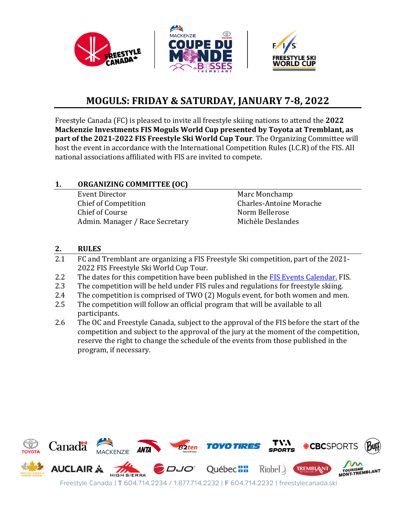

# **MOGULS: FRIDAY & SATURDAY, JANUARY 7-8, 2022**

Freestyle Canada (FC) is pleased to invite all freestyle skiing nations to attend the **2022 Mackenzie Investments FIS Moguls World Cup presented by Toyota at Tremblant, as part of the 2021-2022 FIS Freestyle Ski World Cup Tour**. The Organizing Committee will host the event in accordance with the International Competition Rules (I.C.R) of the FIS. All national associations affiliated with FIS are invited to compete.

#### **1. ORGANIZING COMMITTEE (OC)**

Event Director Marc Monchamp<br>
Chief of Competition Charles-Antoine I Chief of Course (Chief of Course 1996)<br>Admin, Manager / Race Secretary (Michèle Deslandes) Admin. Manager / Race Secretary

Charles-Antoine Morache<br>Norm Bellerose

#### **2. RULES**

- 2.1 FC and Tremblant are organizing a FIS Freestyle Ski competition, part of the 2021- 2022 FIS Freestyle Ski World Cup Tour.
- 2.2 The dates for this competition have been published in th[e FIS Events Calendar.](https://www.fis-ski.com/DB/freestyle-freeski/moguls-aerials/calendar-results.html?noselection=true&disciplinecode=AE,MO,DM,AET,A) FIS.<br>2.3 The competition will be held under FIS rules and regulations for freestyle skiing.
- 2.3 The competition will be held under FIS rules and regulations for freestyle skiing.<br>2.4 The competition is comprised of TWO (2) Moguls event, for both women and mei
- 2.4 The competition is comprised of TWO (2) Moguls event, for both women and men.<br>2.5 The competition will follow an official program that will be available to all
- The competition will follow an official program that will be available to all participants.
- 2.6 The OC and Freestyle Canada, subject to the approval of the FIS before the start of the competition and subject to the approval of the jury at the moment of the competition, reserve the right to change the schedule of the events from those published in the program, if necessary.

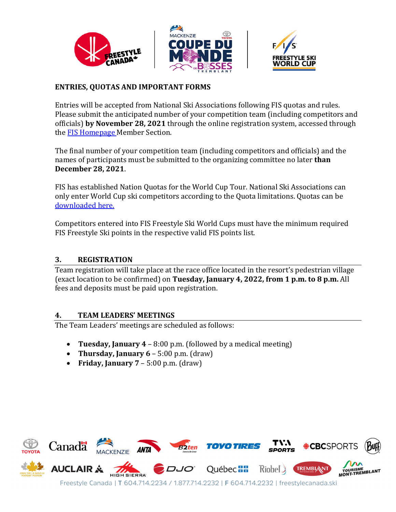

#### **ENTRIES, QUOTAS AND IMPORTANT FORMS**

Entries will be accepted from National Ski Associations following FIS quotas and rules. Please submit the anticipated number of your competition team (including competitors and officials) **by November 28, 2021** through the online registration system, accessed through the [FIS Homepage](https://www.fis-ski.com/DB/?authentication_page=signin) Member Section.

The final number of your competition team (including competitors and officials) and the names of participants must be submitted to the organizing committee no later **than December 28, 2021**.

FIS has established Nation Quotas for the World Cup Tour. National Ski Associations can only enter World Cup ski competitors according to the Quota limitations. Quotas can be [downloaded here.](https://www.fis-ski.com/en/inside-fis/document-library/freestyle-freeski-documents#67e9e2815bdb21c9ed56f5f8)

Competitors entered into FIS Freestyle Ski World Cups must have the minimum required FIS Freestyle Ski points in the respective valid FIS points list.

#### **3. REGISTRATION**

Team registration will take place at the race office located in the resort's pedestrian village (exact location to be confirmed) on **Tuesday, January 4, 2022, from 1 p.m. to 8 p.m.** All fees and deposits must be paid upon registration.

#### **4. TEAM LEADERS' MEETINGS**

The Team Leaders' meetings are scheduled as follows:

- **Tuesday, January 4**  8:00 p.m. (followed by a medical meeting)
- **Thursday, January 6** 5:00 p.m. (draw)
- **Friday, January 7** 5:00 p.m. (draw)

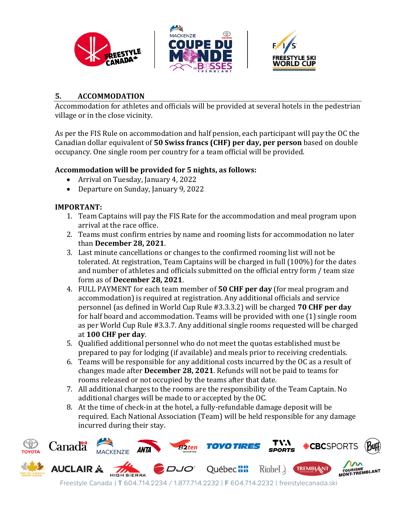

#### **5. ACCOMMODATION**

Accommodation for athletes and officials will be provided at several hotels in the pedestrian village or in the close vicinity.

As per the FIS Rule on accommodation and half pension, each participant will pay the OC the Canadian dollar equivalent of **50 Swiss francs (CHF) per day, per person** based on double occupancy. One single room per country for a team official will be provided.

#### **Accommodation will be provided for 5 nights, as follows:**

- Arrival on Tuesday, January 4, 2022
- Departure on Sunday, January 9, 2022

#### **IMPORTANT:**

- 1. Team Captains will pay the FIS Rate for the accommodation and meal program upon arrival at the race office.
- 2. Teams must confirm entries by name and rooming lists for accommodation no later than **December 28, 2021**.
- 3. Last minute cancellations or changes to the confirmed rooming list will not be tolerated. At registration, Team Captains will be charged in full (100%) for the dates and number of athletes and officials submitted on the official entry form / team size form as of **December 28, 2021**.
- 4. FULL PAYMENT for each team member of **50 CHF per day** (for meal program and accommodation) is required at registration. Any additional officials and service personnel (as defined in World Cup Rule #3.3.3.2) will be charged **70 CHF per day** for half board and accommodation. Teams will be provided with one (1) single room as per World Cup Rule #3.3.7. Any additional single rooms requested will be charged at **100 CHF per day**.
- 5. Qualified additional personnel who do not meet the quotas established must be prepared to pay for lodging (if available) and meals prior to receiving credentials.
- 6. Teams will be responsible for any additional costs incurred by the OC as a result of changes made after **December 28, 2021**. Refunds will not be paid to teams for rooms released or not occupied by the teams after that date.
- 7. All additional charges to the rooms are the responsibility of the Team Captain. No additional charges will be made to or accepted by the OC.
- 8. At the time of check-in at the hotel, a fully-refundable damage deposit will be required. Each National Association (Team) will be held responsible for any damage incurred during their stay.

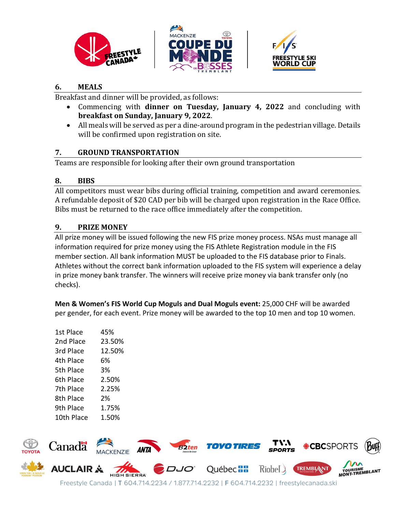





#### **6. MEALS**

Breakfast and dinner will be provided, as follows:

- Commencing with **dinner on Tuesday, January 4, 2022** and concluding with **breakfast on Sunday, January 9, 2022**.
- All meals will be served as per a dine-around program in the pedestrian village. Details will be confirmed upon registration on site.

# **7. GROUND TRANSPORTATION**

Teams are responsible for looking after their own ground transportation

# **8. BIBS**

All competitors must wear bibs during official training, competition and award ceremonies. A refundable deposit of \$20 CAD per bib will be charged upon registration in the Race Office. Bibs must be returned to the race office immediately after the competition.

# **9. PRIZE MONEY**

All prize money will be issued following the new FIS prize money process. NSAs must manage all information required for prize money using the FIS Athlete Registration module in the FIS member section. All bank information MUST be uploaded to the FIS database prior to Finals. Athletes without the correct bank information uploaded to the FIS system will experience a delay in prize money bank transfer. The winners will receive prize money via bank transfer only (no checks).

**Men & Women's FIS World Cup Moguls and Dual Moguls event:** 25,000 CHF will be awarded per gender, for each event. Prize money will be awarded to the top 10 men and top 10 women.

| 1st Place  | 45%    |
|------------|--------|
| 2nd Place  | 23.50% |
| 3rd Place  | 12.50% |
| 4th Place  | 6%     |
| 5th Place  | 3%     |
| 6th Place  | 2.50%  |
| 7th Place  | 2.25%  |
| 8th Place  | 2%     |
| 9th Place  | 1.75%  |
| 10th Place | 1.50%  |

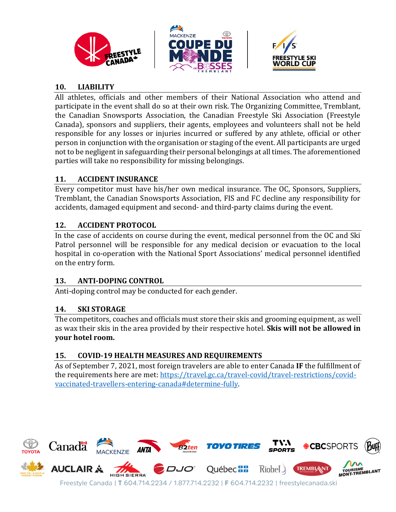





### **10. LIABILITY**

All athletes, officials and other members of their National Association who attend and participate in the event shall do so at their own risk. The Organizing Committee, Tremblant, the Canadian Snowsports Association, the Canadian Freestyle Ski Association (Freestyle Canada), sponsors and suppliers, their agents, employees and volunteers shall not be held responsible for any losses or injuries incurred or suffered by any athlete, official or other person in conjunction with the organisation or staging of the event. All participants are urged not to be negligent in safeguarding their personal belongings at all times. The aforementioned parties will take no responsibility for missing belongings.

### **11. ACCIDENT INSURANCE**

Every competitor must have his/her own medical insurance. The OC, Sponsors, Suppliers, Tremblant, the Canadian Snowsports Association, FIS and FC decline any responsibility for accidents, damaged equipment and second- and third-party claims during the event.

# **12. ACCIDENT PROTOCOL**

In the case of accidents on course during the event, medical personnel from the OC and Ski Patrol personnel will be responsible for any medical decision or evacuation to the local hospital in co-operation with the National Sport Associations' medical personnel identified on the entry form.

# **13. ANTI-DOPING CONTROL**

Anti-doping control may be conducted for each gender.

# **14. SKI STORAGE**

The competitors, coaches and officials must store their skis and grooming equipment, as well as wax their skis in the area provided by their respective hotel. **Skis will not be allowed in your hotel room.**

# **15. COVID-19 HEALTH MEASURES AND REQUIREMENTS**

As of September 7, 2021, most foreign travelers are able to enter Canada **IF** the fulfillment of the requirements here are met: [https://travel.gc.ca/travel-covid/travel-restrictions/covid](https://travel.gc.ca/travel-covid/travel-restrictions/covid-vaccinated-travellers-entering-canada#determine-fully)[vaccinated-travellers-entering-canada#determine-fully.](https://travel.gc.ca/travel-covid/travel-restrictions/covid-vaccinated-travellers-entering-canada#determine-fully)